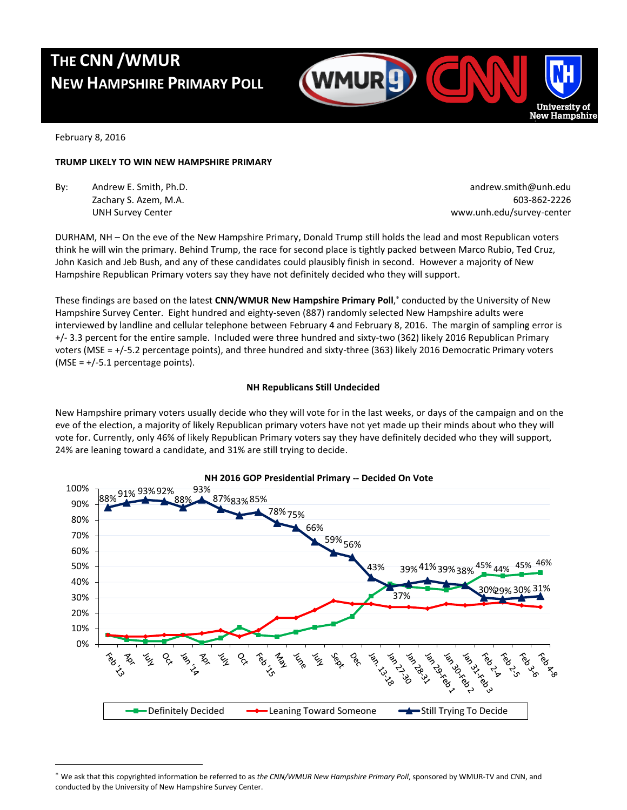# **THE CNN /WMUR NEW HAMPSHIRE PRIMARY POLL**



February 8, 2016

 $\overline{a}$ 

### **TRUMP LIKELY TO WIN NEW HAMPSHIRE PRIMARY**

By: Andrew E. Smith, Ph.D. **Andrew E. Smith, Ph.D.** andrew.smith@unh.edu

Zachary S. Azem, M.A. 603-862-2226 UNH Survey Center www.unh.edu/survey-center

DURHAM, NH – On the eve of the New Hampshire Primary, Donald Trump still holds the lead and most Republican voters think he will win the primary. Behind Trump, the race for second place is tightly packed between Marco Rubio, Ted Cruz, John Kasich and Jeb Bush, and any of these candidates could plausibly finish in second. However a majority of New Hampshire Republican Primary voters say they have not definitely decided who they will support.

These findings are based on the latest **CNN/WMUR New Hampshire Primary Poll**, conducted by the University of New Hampshire Survey Center. Eight hundred and eighty-seven (887) randomly selected New Hampshire adults were interviewed by landline and cellular telephone between February 4 and February 8, 2016. The margin of sampling error is +/- 3.3 percent for the entire sample. Included were three hundred and sixty-two (362) likely 2016 Republican Primary voters (MSE = +/-5.2 percentage points), and three hundred and sixty-three (363) likely 2016 Democratic Primary voters (MSE =  $+/$ -5.1 percentage points).

## **NH Republicans Still Undecided**

New Hampshire primary voters usually decide who they will vote for in the last weeks, or days of the campaign and on the eve of the election, a majority of likely Republican primary voters have not yet made up their minds about who they will vote for. Currently, only 46% of likely Republican Primary voters say they have definitely decided who they will support, 24% are leaning toward a candidate, and 31% are still trying to decide.



**NH 2016 GOP Presidential Primary -- Decided On Vote**

We ask that this copyrighted information be referred to as *the CNN/WMUR New Hampshire Primary Poll*, sponsored by WMUR-TV and CNN, and conducted by the University of New Hampshire Survey Center.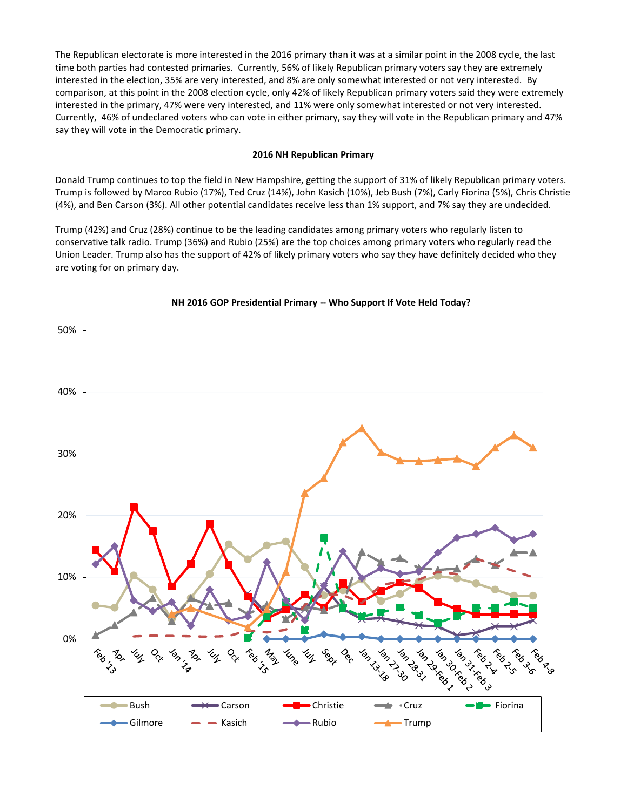The Republican electorate is more interested in the 2016 primary than it was at a similar point in the 2008 cycle, the last time both parties had contested primaries. Currently, 56% of likely Republican primary voters say they are extremely interested in the election, 35% are very interested, and 8% are only somewhat interested or not very interested. By comparison, at this point in the 2008 election cycle, only 42% of likely Republican primary voters said they were extremely interested in the primary, 47% were very interested, and 11% were only somewhat interested or not very interested. Currently, 46% of undeclared voters who can vote in either primary, say they will vote in the Republican primary and 47% say they will vote in the Democratic primary.

## **2016 NH Republican Primary**

Donald Trump continues to top the field in New Hampshire, getting the support of 31% of likely Republican primary voters. Trump is followed by Marco Rubio (17%), Ted Cruz (14%), John Kasich (10%), Jeb Bush (7%), Carly Fiorina (5%), Chris Christie (4%), and Ben Carson (3%). All other potential candidates receive less than 1% support, and 7% say they are undecided.

Trump (42%) and Cruz (28%) continue to be the leading candidates among primary voters who regularly listen to conservative talk radio. Trump (36%) and Rubio (25%) are the top choices among primary voters who regularly read the Union Leader. Trump also has the support of 42% of likely primary voters who say they have definitely decided who they are voting for on primary day.



## **NH 2016 GOP Presidential Primary -- Who Support If Vote Held Today?**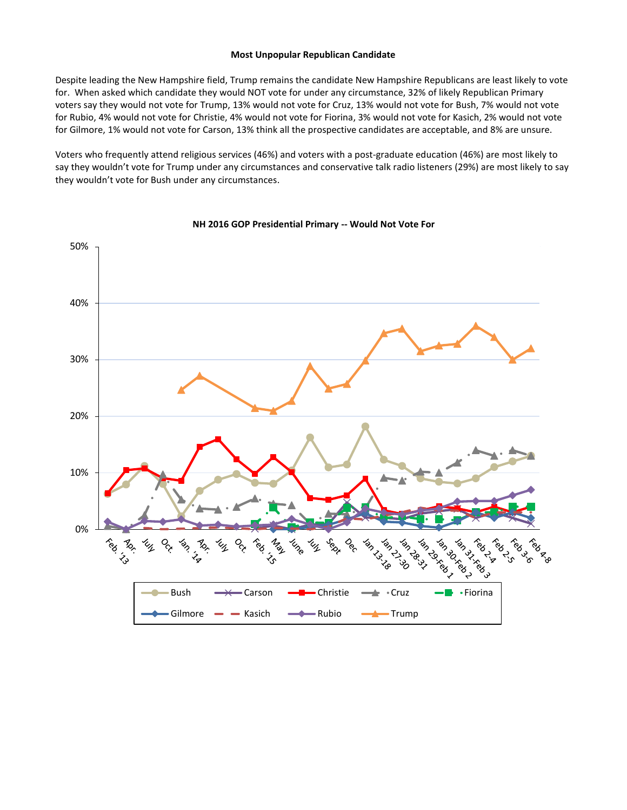#### **Most Unpopular Republican Candidate**

Despite leading the New Hampshire field, Trump remains the candidate New Hampshire Republicans are least likely to vote for. When asked which candidate they would NOT vote for under any circumstance, 32% of likely Republican Primary voters say they would not vote for Trump, 13% would not vote for Cruz, 13% would not vote for Bush, 7% would not vote for Rubio, 4% would not vote for Christie, 4% would not vote for Fiorina, 3% would not vote for Kasich, 2% would not vote for Gilmore, 1% would not vote for Carson, 13% think all the prospective candidates are acceptable, and 8% are unsure.

Voters who frequently attend religious services (46%) and voters with a post-graduate education (46%) are most likely to say they wouldn't vote for Trump under any circumstances and conservative talk radio listeners (29%) are most likely to say they wouldn't vote for Bush under any circumstances.



#### **NH 2016 GOP Presidential Primary -- Would Not Vote For**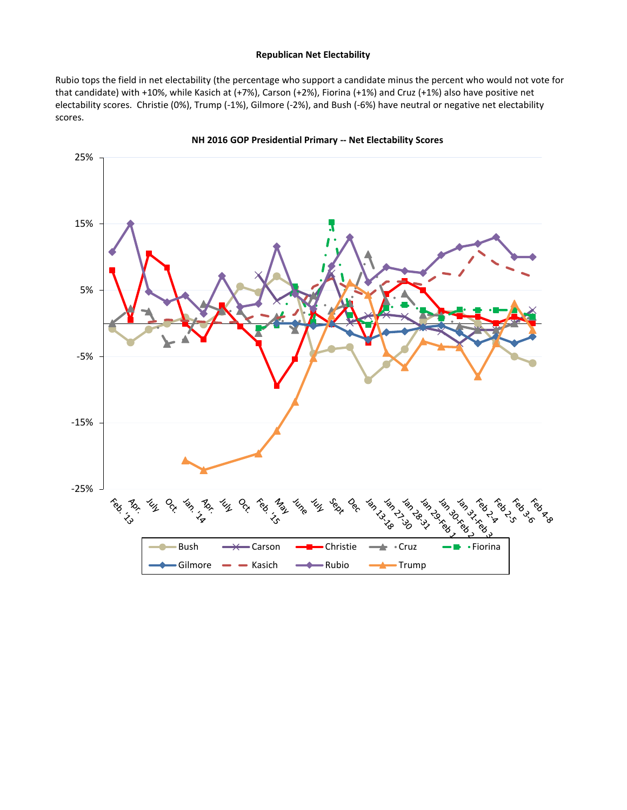## **Republican Net Electability**

Rubio tops the field in net electability (the percentage who support a candidate minus the percent who would not vote for that candidate) with +10%, while Kasich at (+7%), Carson (+2%), Fiorina (+1%) and Cruz (+1%) also have positive net electability scores. Christie (0%), Trump (-1%), Gilmore (-2%), and Bush (-6%) have neutral or negative net electability scores.



**NH 2016 GOP Presidential Primary -- Net Electability Scores**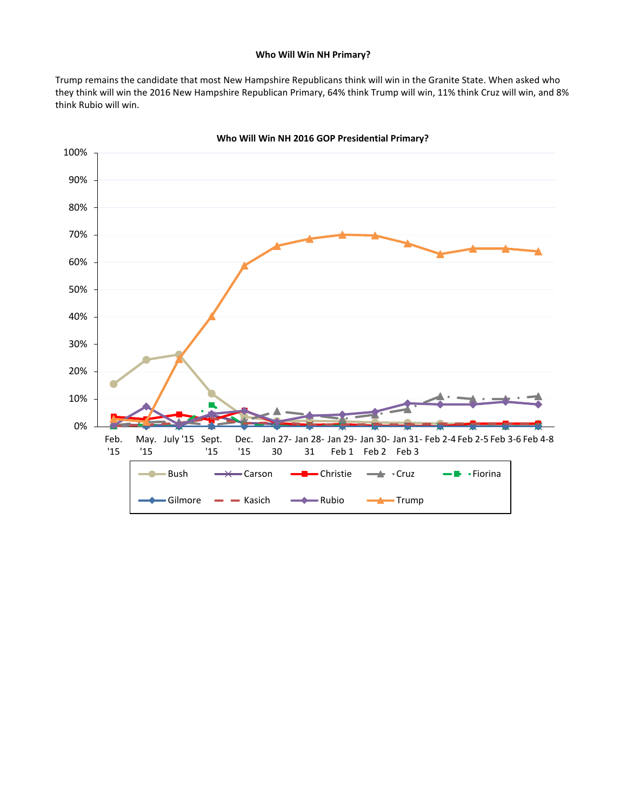#### **Who Will Win NH Primary?**

Trump remains the candidate that most New Hampshire Republicans think will win in the Granite State. When asked who they think will win the 2016 New Hampshire Republican Primary, 64% think Trump will win, 11% think Cruz will win, and 8% think Rubio will win.



**Who Will Win NH 2016 GOP Presidential Primary?**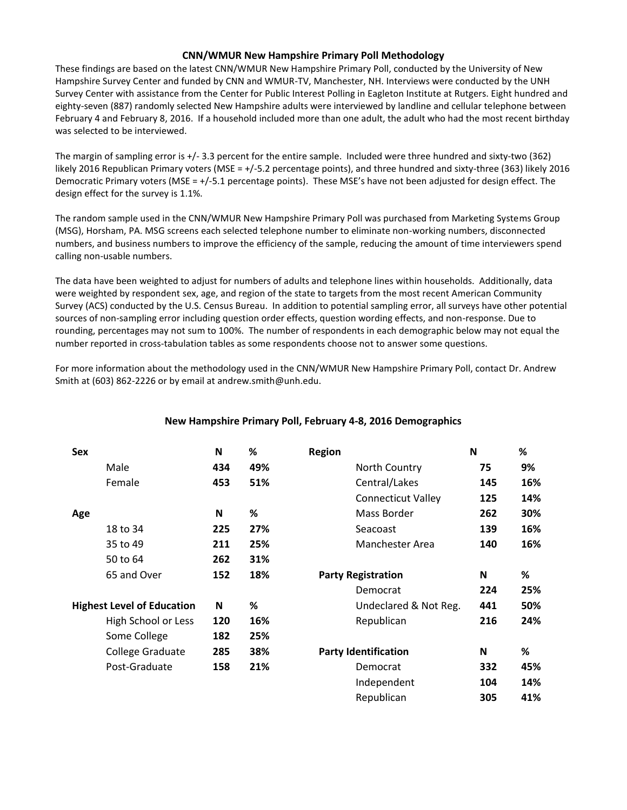## **CNN/WMUR New Hampshire Primary Poll Methodology**

These findings are based on the latest CNN/WMUR New Hampshire Primary Poll, conducted by the University of New Hampshire Survey Center and funded by CNN and WMUR-TV, Manchester, NH. Interviews were conducted by the UNH Survey Center with assistance from the Center for Public Interest Polling in Eagleton Institute at Rutgers. Eight hundred and eighty-seven (887) randomly selected New Hampshire adults were interviewed by landline and cellular telephone between February 4 and February 8, 2016. If a household included more than one adult, the adult who had the most recent birthday was selected to be interviewed.

The margin of sampling error is +/- 3.3 percent for the entire sample. Included were three hundred and sixty-two (362) likely 2016 Republican Primary voters (MSE = +/-5.2 percentage points), and three hundred and sixty-three (363) likely 2016 Democratic Primary voters (MSE = +/-5.1 percentage points). These MSE's have not been adjusted for design effect. The design effect for the survey is 1.1%.

The random sample used in the CNN/WMUR New Hampshire Primary Poll was purchased from Marketing Systems Group (MSG), Horsham, PA. MSG screens each selected telephone number to eliminate non-working numbers, disconnected numbers, and business numbers to improve the efficiency of the sample, reducing the amount of time interviewers spend calling non-usable numbers.

The data have been weighted to adjust for numbers of adults and telephone lines within households. Additionally, data were weighted by respondent sex, age, and region of the state to targets from the most recent American Community Survey (ACS) conducted by the U.S. Census Bureau. In addition to potential sampling error, all surveys have other potential sources of non-sampling error including question order effects, question wording effects, and non-response. Due to rounding, percentages may not sum to 100%. The number of respondents in each demographic below may not equal the number reported in cross-tabulation tables as some respondents choose not to answer some questions.

For more information about the methodology used in the CNN/WMUR New Hampshire Primary Poll, contact Dr. Andrew Smith at (603) 862-2226 or by email at andrew.smith@unh.edu.

| <b>Sex</b>                        | N   | ℅   | <b>Region</b>               | N   | %   |
|-----------------------------------|-----|-----|-----------------------------|-----|-----|
| Male                              | 434 | 49% | North Country               | 75  | 9%  |
| Female                            | 453 | 51% | Central/Lakes               | 145 | 16% |
|                                   |     |     | <b>Connecticut Valley</b>   | 125 | 14% |
| Age                               | N   | %   | Mass Border                 | 262 | 30% |
| 18 to 34                          | 225 | 27% | Seacoast                    | 139 | 16% |
| 35 to 49                          | 211 | 25% | Manchester Area             | 140 | 16% |
| 50 to 64                          | 262 | 31% |                             |     |     |
| 65 and Over                       | 152 | 18% | <b>Party Registration</b>   | N   | %   |
|                                   |     |     | Democrat                    | 224 | 25% |
| <b>Highest Level of Education</b> | N   | %   | Undeclared & Not Reg.       | 441 | 50% |
| High School or Less               | 120 | 16% | Republican                  | 216 | 24% |
| Some College                      | 182 | 25% |                             |     |     |
| College Graduate                  | 285 | 38% | <b>Party Identification</b> | N   | %   |
| Post-Graduate                     | 158 | 21% | Democrat                    | 332 | 45% |
|                                   |     |     | Independent                 | 104 | 14% |
|                                   |     |     | Republican                  | 305 | 41% |

## **New Hampshire Primary Poll, February 4-8, 2016 Demographics**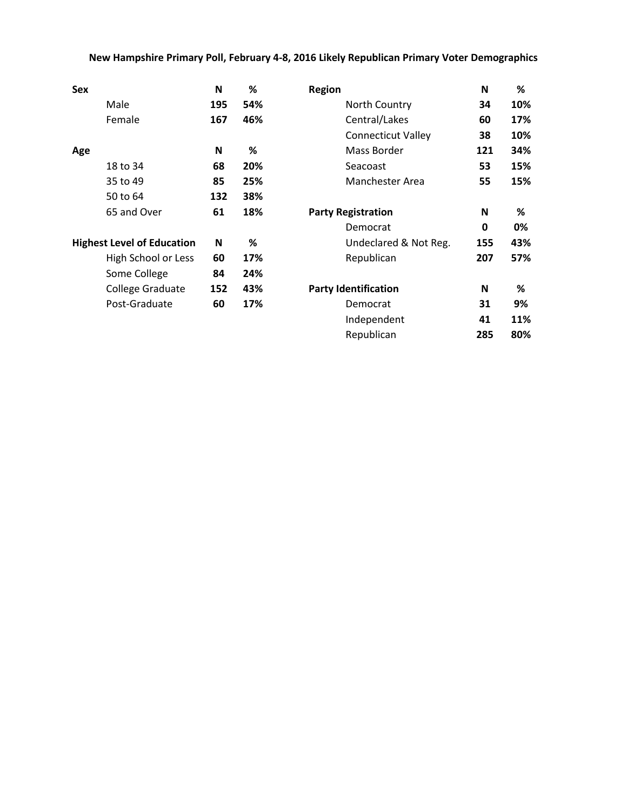## **New Hampshire Primary Poll, February 4-8, 2016 Likely Republican Primary Voter Demographics**

| <b>Sex</b>                        | N   | %   | <b>Region</b>               | N           | %   |
|-----------------------------------|-----|-----|-----------------------------|-------------|-----|
| Male                              | 195 | 54% | North Country               | 34          | 10% |
| Female                            | 167 | 46% | Central/Lakes               | 60          | 17% |
|                                   |     |     | <b>Connecticut Valley</b>   | 38          | 10% |
| Age                               | N   | %   | Mass Border                 | 121         | 34% |
| 18 to 34                          | 68  | 20% | Seacoast                    | 53          | 15% |
| 35 to 49                          | 85  | 25% | Manchester Area             | 55          | 15% |
| 50 to 64                          | 132 | 38% |                             |             |     |
| 65 and Over                       | 61  | 18% | <b>Party Registration</b>   | N           | %   |
|                                   |     |     | Democrat                    | $\mathbf 0$ | 0%  |
| <b>Highest Level of Education</b> | N   | ℅   | Undeclared & Not Reg.       | 155         | 43% |
| High School or Less               | 60  | 17% | Republican                  | 207         | 57% |
| Some College                      | 84  | 24% |                             |             |     |
| College Graduate                  | 152 | 43% | <b>Party Identification</b> | N           | %   |
| Post-Graduate                     | 60  | 17% | Democrat                    | 31          | 9%  |
|                                   |     |     | Independent                 | 41          | 11% |
|                                   |     |     | Republican                  | 285         | 80% |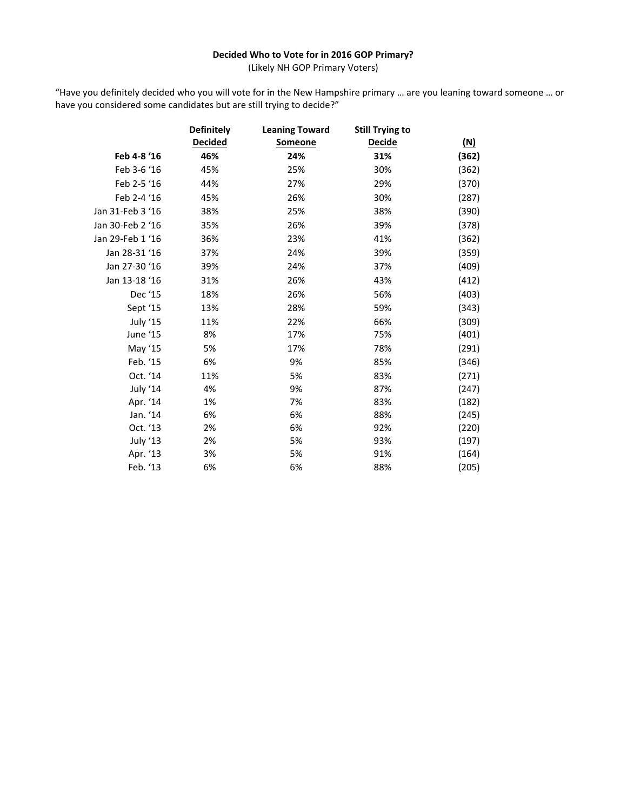## **Decided Who to Vote for in 2016 GOP Primary?**

(Likely NH GOP Primary Voters)

"Have you definitely decided who you will vote for in the New Hampshire primary … are you leaning toward someone … or have you considered some candidates but are still trying to decide?"

|                  | <b>Definitely</b> | <b>Leaning Toward</b> | <b>Still Trying to</b> |            |
|------------------|-------------------|-----------------------|------------------------|------------|
|                  | <b>Decided</b>    | Someone               | <b>Decide</b>          | <u>(N)</u> |
| Feb 4-8 '16      | 46%               | 24%                   | 31%                    | (362)      |
| Feb 3-6 '16      | 45%               | 25%                   | 30%                    | (362)      |
| Feb 2-5 '16      | 44%               | 27%                   | 29%                    | (370)      |
| Feb 2-4 '16      | 45%               | 26%                   | 30%                    | (287)      |
| Jan 31-Feb 3 '16 | 38%               | 25%                   | 38%                    | (390)      |
| Jan 30-Feb 2 '16 | 35%               | 26%                   | 39%                    | (378)      |
| Jan 29-Feb 1 '16 | 36%               | 23%                   | 41%                    | (362)      |
| Jan 28-31 '16    | 37%               | 24%                   | 39%                    | (359)      |
| Jan 27-30 '16    | 39%               | 24%                   | 37%                    | (409)      |
| Jan 13-18 '16    | 31%               | 26%                   | 43%                    | (412)      |
| Dec '15          | 18%               | 26%                   | 56%                    | (403)      |
| Sept '15         | 13%               | 28%                   | 59%                    | (343)      |
| July '15         | 11%               | 22%                   | 66%                    | (309)      |
| June '15         | 8%                | 17%                   | 75%                    | (401)      |
| May '15          | 5%                | 17%                   | 78%                    | (291)      |
| Feb. '15         | 6%                | 9%                    | 85%                    | (346)      |
| Oct. '14         | 11%               | 5%                    | 83%                    | (271)      |
| July '14         | 4%                | 9%                    | 87%                    | (247)      |
| Apr. '14         | 1%                | 7%                    | 83%                    | (182)      |
| Jan. '14         | 6%                | 6%                    | 88%                    | (245)      |
| Oct. '13         | 2%                | 6%                    | 92%                    | (220)      |
| July '13         | 2%                | 5%                    | 93%                    | (197)      |
| Apr. '13         | 3%                | 5%                    | 91%                    | (164)      |
| Feb. '13         | 6%                | 6%                    | 88%                    | (205)      |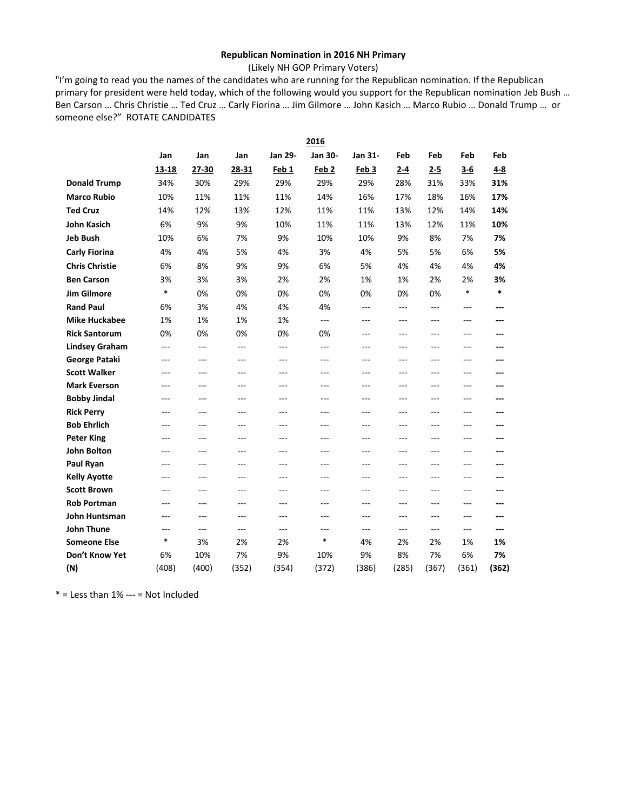## **Republican Nomination in 2016 NH Primary**

(Likely NH GOP Primary Voters)

"I'm going to read you the names of the candidates who are running for the Republican nomination. If the Republican primary for president were held today, which of the following would you support for the Republican nomination Jeb Bush … Ben Carson … Chris Christie … Ted Cruz … Carly Fiorina … Jim Gilmore … John Kasich … Marco Rubio … Donald Trump … or someone else?" ROTATE CANDIDATES

|                       |        |                |                |                  | 2016                 |                  |         |         |         |         |
|-----------------------|--------|----------------|----------------|------------------|----------------------|------------------|---------|---------|---------|---------|
|                       | Jan    | Jan            | Jan            | Jan 29-          | Jan 30-              | Jan 31-          | Feb     | Feb     | Feb     | Feb     |
|                       | 13-18  | 27-30          | 28-31          | Feb <sub>1</sub> | Feb <sub>2</sub>     | Feb <sub>3</sub> | $2 - 4$ | $2 - 5$ | $3-6$   | $4 - 8$ |
| <b>Donald Trump</b>   | 34%    | 30%            | 29%            | 29%              | 29%                  | 29%              | 28%     | 31%     | 33%     | 31%     |
| <b>Marco Rubio</b>    | 10%    | 11%            | 11%            | 11%              | 14%                  | 16%              | 17%     | 18%     | 16%     | 17%     |
| <b>Ted Cruz</b>       | 14%    | 12%            | 13%            | 12%              | 11%                  | 11%              | 13%     | 12%     | 14%     | 14%     |
| <b>John Kasich</b>    | 6%     | 9%             | 9%             | 10%              | 11%                  | 11%              | 13%     | 12%     | 11%     | 10%     |
| <b>Jeb Bush</b>       | 10%    | 6%             | 7%             | 9%               | 10%                  | 10%              | 9%      | 8%      | 7%      | 7%      |
| <b>Carly Fiorina</b>  | 4%     | 4%             | 5%             | 4%               | 3%                   | 4%               | 5%      | 5%      | 6%      | 5%      |
| <b>Chris Christie</b> | 6%     | 8%             | 9%             | 9%               | 6%                   | 5%               | 4%      | 4%      | 4%      | 4%      |
| <b>Ben Carson</b>     | 3%     | 3%             | 3%             | 2%               | 2%                   | 1%               | 1%      | 2%      | 2%      | 3%      |
| <b>Jim Gilmore</b>    | $\ast$ | 0%             | 0%             | 0%               | 0%                   | 0%               | 0%      | 0%      | *       | $\ast$  |
| <b>Rand Paul</b>      | 6%     | 3%             | 4%             | 4%               | 4%                   | $---$            | $---$   | $---$   | $---$   | ---     |
| <b>Mike Huckabee</b>  | 1%     | 1%             | 1%             | 1%               | $\sim$ $\sim$ $\sim$ | $- - -$          | $---$   | ---     | $- - -$ |         |
| <b>Rick Santorum</b>  | 0%     | 0%             | 0%             | 0%               | 0%                   | $---$            | $---$   | ---     | $- - -$ | ---     |
| <b>Lindsey Graham</b> | $---$  | $---$          | $\overline{a}$ | $---$            | $\overline{a}$       | $---$            | $---$   | ---     | $---$   | ---     |
| George Pataki         | ---    | $\overline{a}$ | $---$          | ---              | $---$                | $---$            | $---$   | ---     | $---$   | ---     |
| <b>Scott Walker</b>   | ---    | $---$          | $---$          | ---              | $---$                | ---              | ---     | ---     | $---$   | ---     |
| <b>Mark Everson</b>   | ---    | ---            | ---            | ---              | $---$                | $---$            | ---     | ---     | $---$   | ---     |
| <b>Bobby Jindal</b>   | ---    | ---            | $---$          | ---              | $---$                | $---$            | $---$   | ---     | $---$   | ---     |
| <b>Rick Perry</b>     | ---    | ---            | ---            | ---              | $---$                | ---              | ---     | ---     | ---     | ---     |
| <b>Bob Ehrlich</b>    | ---    | ---            | ---            | ---              | $---$                | ---              | ---     | ---     | $-$     | ---     |
| <b>Peter King</b>     | ---    | ---            | ---            | ---              | $---$                | ---              | ---     | ---     | ---     | ---     |
| <b>John Bolton</b>    | ---    | $---$          | $---$          | ---              | $\overline{a}$       | $-$              | ---     | ---     | $- - -$ | ---     |
| Paul Ryan             | ---    | ---            | ---            | ---              | $---$                | ---              | ---     | ---     | ---     |         |
| <b>Kelly Ayotte</b>   | ---    | ---            | ---            | ---              | $---$                | ---              | ---     | ---     | $---$   | ---     |
| <b>Scott Brown</b>    | ---    | ---            | ---            | ---              | ---                  | ---              | ---     | ---     | ---     | ---     |
| <b>Rob Portman</b>    | ---    | $---$          | $---$          | ---              | $---$                | $---$            | $---$   | ---     | $---$   | ---     |
| John Huntsman         | ---    | $-$ --         | $---$          | $-$ --           | $---$                | $-$              | $-$     | ---     | $---$   |         |
| <b>John Thune</b>     | ---    | $---$          | $---$          | $---$            | $---$                | $---$            | $---$   | $---$   | $---$   | ---     |
| <b>Someone Else</b>   | $\ast$ | 3%             | 2%             | 2%               | $\ast$               | 4%               | 2%      | 2%      | 1%      | 1%      |
| Don't Know Yet        | 6%     | 10%            | 7%             | 9%               | 10%                  | 9%               | 8%      | 7%      | 6%      | 7%      |
| (N)                   | (408)  | (400)          | (352)          | (354)            | (372)                | (386)            | (285)   | (367)   | (361)   | (362)   |

 $*$  = Less than 1% --- = Not Included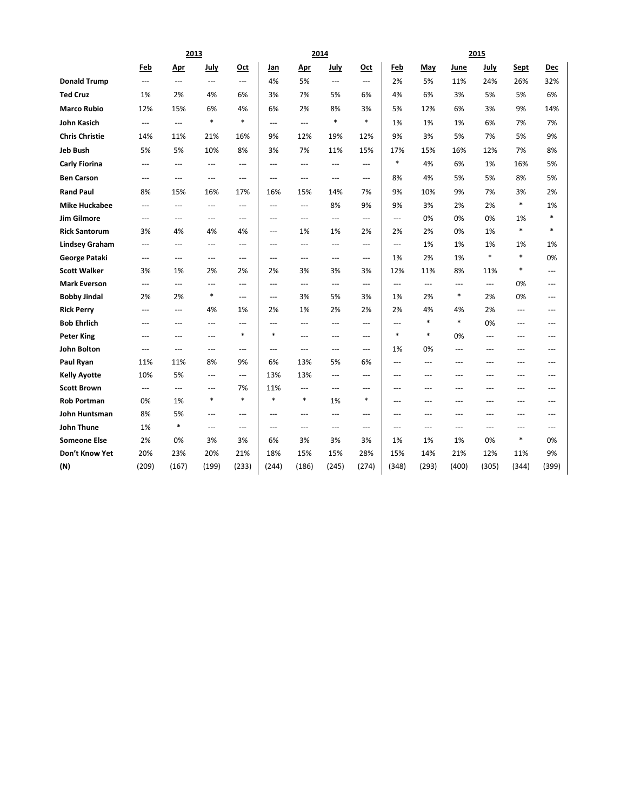|                                          |                        | 2013           |                      |                          | 2014<br>2015         |                          |                |                          |             |           |                |                |          |                |
|------------------------------------------|------------------------|----------------|----------------------|--------------------------|----------------------|--------------------------|----------------|--------------------------|-------------|-----------|----------------|----------------|----------|----------------|
|                                          | Feb                    | Apr            | July                 | Oct                      | Jan                  | <u>Apr</u>               | July           | Oct                      | Feb         | May       | June           | July           | Sept     | Dec            |
| <b>Donald Trump</b>                      | $\overline{a}$         | ---            | ---                  | $\overline{a}$           | 4%                   | 5%                       | ---            | $\overline{a}$           | 2%          | 5%        | 11%            | 24%            | 26%      | 32%            |
| <b>Ted Cruz</b>                          | 1%                     | 2%             | 4%                   | 6%                       | 3%                   | 7%                       | 5%             | 6%                       | 4%          | 6%        | 3%             | 5%             | 5%       | 6%             |
| <b>Marco Rubio</b>                       | 12%                    | 15%            | 6%                   | 4%                       | 6%                   | 2%                       | 8%             | 3%                       | 5%          | 12%       | 6%             | 3%             | 9%       | 14%            |
| John Kasich                              | $\qquad \qquad \cdots$ | ---            | $\ast$               | $\ast$                   | $---$                | ---                      | $\ast$         | $\ast$                   | 1%          | 1%        | 1%             | 6%             | 7%       | 7%             |
| <b>Chris Christie</b>                    | 14%                    | 11%            | 21%                  | 16%                      | 9%                   | 12%                      | 19%            | 12%                      | 9%          | 3%        | 5%             | 7%             | 5%       | 9%             |
| <b>Jeb Bush</b>                          | 5%                     | 5%             | 10%                  | 8%                       | 3%                   | 7%                       | 11%            | 15%                      | 17%         | 15%       | 16%            | 12%            | 7%       | 8%             |
| <b>Carly Fiorina</b>                     | $---$                  | ---            | ---                  | $\hspace{0.05cm} \ldots$ | $---$                | ---                      | $---$          | $\hspace{0.05cm} \ldots$ | $\ast$      | 4%        | 6%             | 1%             | 16%      | 5%             |
| <b>Ben Carson</b>                        | $\overline{a}$         | $\overline{a}$ | $---$                | $\overline{a}$           | $\overline{a}$       | ---                      | $\overline{a}$ | $---$                    | 8%          | 4%        | 5%             | 5%             | 8%       | 5%             |
| <b>Rand Paul</b>                         | 8%                     | 15%            | 16%                  | 17%                      | 16%                  | 15%                      | 14%            | 7%                       | 9%          | 10%       | 9%             | 7%             | 3%       | 2%             |
| <b>Mike Huckabee</b>                     | $\qquad \qquad \cdots$ | $---$          | ---                  | $\hspace{0.05cm} \ldots$ | $---$                | ---                      | 8%             | 9%                       | 9%          | 3%        | 2%             | 2%             | $\ast$   | 1%             |
| <b>Jim Gilmore</b>                       | $\overline{a}$         | ---            | ---                  | $---$                    | $\overline{a}$       | ---                      | $---$          | $\overline{\phantom{a}}$ | $-$         | 0%        | 0%             | 0%             | 1%       | *              |
| <b>Rick Santorum</b>                     | 3%                     | 4%             | 4%                   | 4%                       | $---$                | 1%                       | 1%             | 2%                       | 2%          | 2%        | 0%             | 1%             | $\ast$   | $\ast$         |
| <b>Lindsey Graham</b>                    | $\overline{a}$         | ---            | $\overline{a}$       | ---                      | $\overline{a}$       | ---                      | $\overline{a}$ | $---$                    | $-$         | 1%        | 1%             | 1%             | 1%       | 1%             |
| <b>George Pataki</b>                     | $\overline{a}$         | $\overline{a}$ | $---$                | $\overline{a}$           | $\overline{a}$       | ---                      | $-$            | $---$                    | 1%          | 2%        | 1%             | $\ast$         | $\ast$   | 0%             |
| <b>Scott Walker</b>                      | 3%                     | 1%             | 2%                   | 2%                       | 2%                   | 3%                       | 3%             | 3%                       | 12%         | 11%       | 8%             | 11%            | $\ast$   | $\overline{a}$ |
| <b>Mark Everson</b>                      | $---$                  | $---$          | $---$                | $\overline{a}$           | $\overline{a}$       | $---$                    | $\overline{a}$ | $\overline{a}$           | $---$       | ---       | $-$            | $\overline{a}$ | 0%       | $---$          |
| <b>Bobby Jindal</b>                      | 2%                     | 2%             | $\ast$               | $\overline{a}$           | $\overline{a}$       | 3%                       | 5%             | 3%                       | 1%          | 2%        | *              | 2%             | 0%       | $---$          |
| <b>Rick Perry</b>                        | ---                    | ---            | 4%                   | 1%                       | 2%                   | 1%                       | 2%             | 2%                       | 2%          | 4%        | 4%             | 2%             | ---      | ---            |
| <b>Bob Ehrlich</b>                       | ---                    | ---            | ---                  | ---                      | $\overline{a}$       | ---                      | $\overline{a}$ | $---$                    | ---         | $\ast$    | *              | 0%             | $---$    | ---            |
| <b>Peter King</b>                        | $---$                  | ---            | ---                  | $\ast$                   | $\ast$               | ---                      | $---$          | $---$                    | $\ast$      | $\ast$    | 0%             | ---            | ---      | ---            |
| <b>John Bolton</b>                       | $\overline{a}$         | ---            | $\overline{a}$       | $---$                    | $\overline{a}$       | $---$                    | $-$            | $---$                    | 1%          | 0%        | $\overline{a}$ | $---$          | ---      | $---$          |
| Paul Ryan                                | 11%                    | 11%            | 8%                   | 9%                       | 6%                   | 13%                      | 5%             | 6%                       | $---$       | ---       | ---            | ---            | ---      | ---            |
| <b>Kelly Ayotte</b>                      | 10%                    | 5%             | $\overline{a}$       | $\overline{a}$           | 13%                  | 13%                      | $-$            | $\overline{a}$           | $---$       | ---       | $\overline{a}$ | ---            | $---$    | ---            |
| <b>Scott Brown</b>                       | $---$                  | $\overline{a}$ | $---$<br>$\ast$      | 7%<br>$\ast$             | 11%<br>$\ast$        | $\overline{a}$<br>$\ast$ | $---$          | $\overline{a}$<br>$\ast$ | $---$       | $---$     | $---$          | $---$          | $---$    | $---$          |
| <b>Rob Portman</b>                       | 0%                     | 1%             |                      |                          |                      |                          | 1%             |                          | ---         | ---       | ---            | ---            | ---      | $---$          |
| John Huntsman                            | 8%                     | 5%<br>*        | $---$                | $\cdots$                 | ---                  | ---                      | $\overline{a}$ | $\cdots$                 | ---         | ---       | ---            | ---            | ---      | ---            |
| <b>John Thune</b><br><b>Someone Else</b> | 1%<br>2%               |                | $\overline{a}$<br>3% | $---$<br>3%              | $\overline{a}$<br>6% | ---                      | $-$<br>3%      | $---$<br>3%              | $---$<br>1% | ---       | ---<br>1%      | ---<br>0%      | ---<br>* | ---<br>0%      |
| Don't Know Yet                           | 20%                    | 0%<br>23%      | 20%                  | 21%                      | 18%                  | 3%<br>15%                | 15%            | 28%                      | 15%         | 1%<br>14% | 21%            | 12%            | 11%      | 9%             |
|                                          | (209)                  | (167)          | (199)                | (233)                    | (244)                | (186)                    | (245)          | (274)                    | (348)       | (293)     | (400)          | (305)          | (344)    | (399)          |
| (N)                                      |                        |                |                      |                          |                      |                          |                |                          |             |           |                |                |          |                |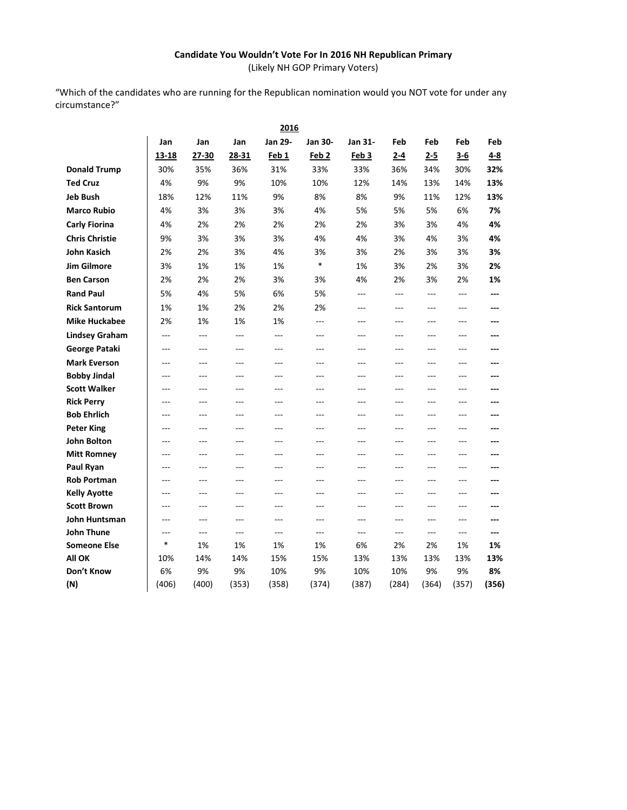## **Candidate You Wouldn't Vote For In 2016 NH Republican Primary** (Likely NH GOP Primary Voters)

"Which of the candidates who are running for the Republican nomination would you NOT vote for under any circumstance?"

|                                    |          |           |                | 2016      |                  |                |           |           |                |           |
|------------------------------------|----------|-----------|----------------|-----------|------------------|----------------|-----------|-----------|----------------|-----------|
|                                    | Jan      | Jan       | Jan            | Jan 29-   | Jan 30-          | <b>Jan 31-</b> | Feb       | Feb       | Feb            | Feb       |
|                                    | 13-18    | 27-30     | 28-31          | Feb 1     | Feb <sub>2</sub> | Feb 3          | $2 - 4$   | $2 - 5$   | $3 - 6$        | $4 - 8$   |
| <b>Donald Trump</b>                | 30%      | 35%       | 36%            | 31%       | 33%              | 33%            | 36%       | 34%       | 30%            | 32%       |
| <b>Ted Cruz</b>                    | 4%       | 9%        | 9%             | 10%       | 10%              | 12%            | 14%       | 13%       | 14%            | 13%       |
| <b>Jeb Bush</b>                    | 18%      | 12%       | 11%            | 9%        | 8%               | 8%             | 9%        | 11%       | 12%            | 13%       |
| <b>Marco Rubio</b>                 | 4%       | 3%        | 3%             | 3%        | 4%               | 5%             | 5%        | 5%        | 6%             | 7%        |
| <b>Carly Fiorina</b>               | 4%       | 2%        | 2%             | 2%        | 2%               | 2%             | 3%        | 3%        | 4%             | 4%        |
| <b>Chris Christie</b>              | 9%       | 3%        | 3%             | 3%        | 4%               | 4%             | 3%        | 4%        | 3%             | 4%        |
| <b>John Kasich</b>                 | 2%       | 2%        | 3%             | 4%        | 3%               | 3%             | 2%        | 3%        | 3%             | 3%        |
| <b>Jim Gilmore</b>                 | 3%       | 1%        | 1%             | 1%        | $\ast$           | 1%             | 3%        | 2%        | 3%             | 2%        |
| <b>Ben Carson</b>                  | 2%       | 2%        | 2%             | 3%        | 3%               | 4%             | 2%        | 3%        | 2%             | 1%        |
| <b>Rand Paul</b>                   | 5%       | 4%        | 5%             | 6%        | 5%               | $\overline{a}$ | $\sim$    | $---$     | $\overline{a}$ | ---       |
| <b>Rick Santorum</b>               | 1%       | 1%        | 2%             | 2%        | 2%               | $---$          | $---$     | $---$     | $---$          | ---       |
| <b>Mike Huckabee</b>               | 2%       | 1%        | 1%             | 1%        | $---$            | $---$          | $---$     | $---$     | $---$          | $---$     |
| <b>Lindsey Graham</b>              | ---      | ---       | ---            | ---       | ---              | $---$          | $---$     | $---$     | $---$          | $---$     |
| George Pataki                      | ---      | ---       | ---            | ---       | ---              | ---            | ---       | ---       | ---            | ---       |
| <b>Mark Everson</b>                | ---      | $---$     | $-$            | ---       | ---              | $---$          | $---$     | ---       | $---$          |           |
| <b>Bobby Jindal</b>                | $---$    | $---$     | $---$          | ---       | ---              | $---$          | $---$     | $---$     | $---$          | ---       |
| <b>Scott Walker</b>                | $---$    | $---$     | $---$          | ---       | ---              | ---            | $---$     | $---$     | ---            | ---       |
| <b>Rick Perry</b>                  | $---$    | $---$     | $---$          | ---       | ---              | ---            | $---$     | $---$     | ---            |           |
| <b>Bob Ehrlich</b>                 | ---      | $---$     | $\overline{a}$ | ---       | ---              | $---$          | $---$     | ---       | $---$          | ---       |
| <b>Peter King</b>                  | $---$    | $---$     | $---$          | $---$     | ---              | $---$          | $---$     | $---$     | $---$          | ---       |
| <b>John Bolton</b>                 | ---      | $---$     | $---$          | ---       | ---              | $---$          | $---$     | ---       | $---$          |           |
| <b>Mitt Romney</b>                 |          |           | ---            | ---       | ---              | ---            | ---       | ---       | ---            | ---       |
| Paul Ryan                          | ---      | $-$       | $-$            | ---       | $-$ --           | $-$ --         | $-$       | $-$       | $---$          |           |
| <b>Rob Portman</b>                 | $- - -$  | $- - -$   | $- - -$        | $-$       | $---$            | $---$          | $- - -$   | $- - -$   | $---$          |           |
| <b>Kelly Ayotte</b>                | ---      | $---$     | $---$          | ---       | ---              | ---            | ---       | ---       | ---            | ---       |
| <b>Scott Brown</b>                 | ---      | $\sim$    | $\overline{a}$ | ---       | ---              | ---            | $---$     | ---       | $---$          |           |
| John Huntsman<br><b>John Thune</b> | $-$      | $-$       | $-$            | $-$ - $-$ | $---$            | $---$          | $-$       | $-$       | $---$          | ---       |
| <b>Someone Else</b>                | ---<br>* | ---<br>1% | ---<br>1%      | ---<br>1% | ---<br>1%        | ---<br>6%      | ---<br>2% | ---<br>2% | ---<br>1%      | ---<br>1% |
| All OK                             | 10%      | 14%       | 14%            | 15%       | 15%              | 13%            | 13%       | 13%       | 13%            | 13%       |
| Don't Know                         | 6%       | 9%        | 9%             | 10%       | 9%               | 10%            | 10%       | 9%        | 9%             | 8%        |
| (N)                                | (406)    | (400)     | (353)          | (358)     | (374)            | (387)          | (284)     | (364)     | (357)          | (356)     |
|                                    |          |           |                |           |                  |                |           |           |                |           |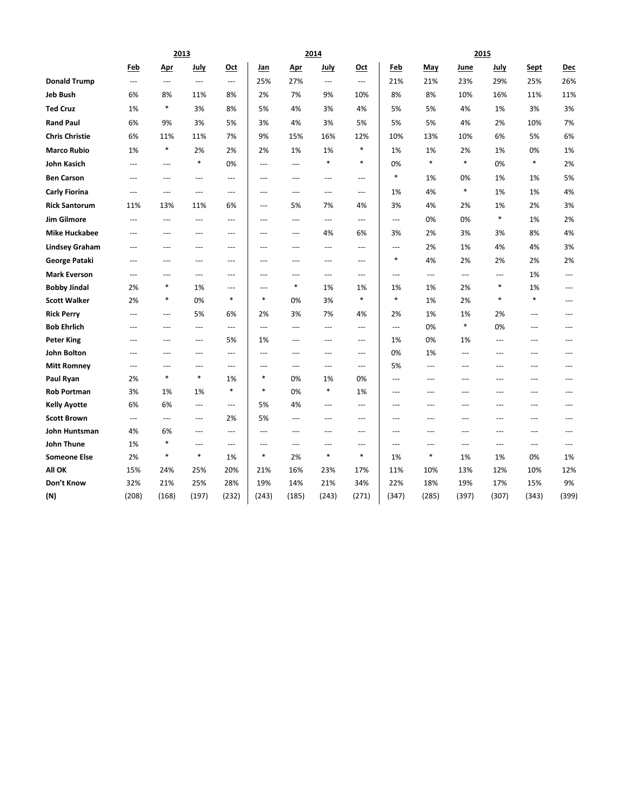|                       |                          |                         | 2013                     |                          |                |                | 2014                     |                          |                |               |                | 2015           |                |                          |
|-----------------------|--------------------------|-------------------------|--------------------------|--------------------------|----------------|----------------|--------------------------|--------------------------|----------------|---------------|----------------|----------------|----------------|--------------------------|
|                       | Feb                      | <u>Apr</u>              | July                     | Oct                      | Jan            | <u>Apr</u>     | July                     | Oct                      | Feb            | May           | June           | July           | Sept           | Dec                      |
| <b>Donald Trump</b>   | $\overline{\phantom{a}}$ | $\cdots$                | $\overline{\phantom{a}}$ | $\hspace{0.05cm} \ldots$ | 25%            | 27%            | $\overline{\phantom{a}}$ | $\hspace{0.05cm} \ldots$ | 21%            | 21%           | 23%            | 29%            | 25%            | 26%                      |
| <b>Jeb Bush</b>       | 6%                       | 8%                      | 11%                      | 8%                       | 2%             | 7%             | 9%                       | 10%                      | 8%             | 8%            | 10%            | 16%            | 11%            | 11%                      |
| <b>Ted Cruz</b>       | 1%                       | $\ast$                  | 3%                       | 8%                       | 5%             | 4%             | 3%                       | 4%                       | 5%             | 5%            | 4%             | 1%             | 3%             | 3%                       |
| <b>Rand Paul</b>      | 6%                       | 9%                      | 3%                       | 5%                       | 3%             | 4%             | 3%                       | 5%                       | 5%             | 5%            | 4%             | 2%             | 10%            | 7%                       |
| <b>Chris Christie</b> | 6%                       | 11%                     | 11%                      | 7%                       | 9%             | 15%            | 16%                      | 12%                      | 10%            | 13%           | 10%            | 6%             | 5%             | 6%                       |
| <b>Marco Rubio</b>    | 1%                       | $\ast$                  | 2%                       | 2%                       | 2%             | 1%             | 1%                       | $\ast$                   | 1%             | 1%            | 2%             | 1%             | 0%             | 1%                       |
| John Kasich           | $---$                    | $---$                   | $\ast$                   | 0%                       | $\sim$         | $\overline{a}$ | $\ast$                   | $\ast$                   | 0%             | *             | $\ast$         | 0%             | $\ast$         | 2%                       |
| <b>Ben Carson</b>     | $---$                    | $\overline{a}$          | $\overline{a}$           | $\overline{a}$           | $\overline{a}$ | $-$            | $\overline{a}$           | $---$                    | $\ast$         | 1%            | 0%             | 1%             | 1%             | 5%                       |
| <b>Carly Fiorina</b>  | $\overline{a}$           | $\overline{a}$          | $\overline{a}$           | $\sim$                   | $---$          | $\overline{a}$ | $\sim$                   | $---$                    | 1%             | 4%            | $\ast$         | 1%             | 1%             | 4%                       |
| <b>Rick Santorum</b>  | 11%                      | 13%                     | 11%                      | 6%                       | ---            | 5%             | 7%                       | 4%                       | 3%             | 4%            | 2%             | 1%             | 2%             | 3%                       |
| <b>Jim Gilmore</b>    | $---$                    | $---$                   | $\overline{\phantom{a}}$ | ---                      | $\overline{a}$ | ---            | $---$                    | $\overline{a}$           | $---$          | 0%            | 0%             | $\ast$         | 1%             | 2%                       |
| <b>Mike Huckabee</b>  | ---                      | ---                     | ---                      | ---                      | ---            | ---            | 4%                       | 6%                       | 3%             | 2%            | 3%             | 3%             | 8%             | 4%                       |
| <b>Lindsey Graham</b> | ---                      | $---$                   | $---$                    | $---$                    | $\overline{a}$ | $\overline{a}$ | $\overline{a}$           | $---$                    | $\overline{a}$ | 2%            | 1%             | 4%             | 4%             | 3%                       |
| George Pataki         | $---$                    | $\qquad \qquad -$       | $\cdots$                 | $---$                    | ---            | ---            | $---$                    | $\cdots$                 | $\ast$         | 4%            | 2%             | 2%             | 2%             | 2%                       |
| <b>Mark Everson</b>   | $---$                    | $\overline{a}$          | $---$                    | $---$                    | $\sim$         | $\overline{a}$ | $---$                    | $---$                    | $\overline{a}$ | $---$         | $\overline{a}$ | $\overline{a}$ | 1%             | $---$                    |
| <b>Bobby Jindal</b>   | 2%                       | $\ast$                  | 1%                       | ---                      | ---            | $\ast$         | 1%                       | 1%                       | 1%             | 1%            | 2%             | $\ast$         | 1%             | $---$                    |
| <b>Scott Walker</b>   | 2%                       | $\ast$                  | 0%                       | $\ast$                   | $\ast$         | 0%             | 3%                       | $\ast$                   | $\ast$         | 1%            | 2%             | $\ast$         | $\ast$         | ---                      |
| <b>Rick Perry</b>     | $---$                    | $\qquad \qquad -\qquad$ | 5%                       | 6%                       | 2%             | 3%             | 7%                       | 4%                       | 2%             | 1%            | 1%             | 2%             | $\cdots$       | $---$                    |
| <b>Bob Ehrlich</b>    | $\overline{a}$           | $\overline{a}$          | $\overline{\phantom{a}}$ | $\cdots$                 | ---            | ---            | $\overline{a}$           | $\overline{a}$           | $\overline{a}$ | 0%            | $\ast$         | 0%             | $\overline{a}$ | $\overline{\phantom{a}}$ |
| <b>Peter King</b>     | $---$                    | $\overline{a}$          | $---$                    | 5%                       | 1%             | ---            | $\overline{a}$           | $---$                    | 1%             | 0%            | 1%             | $\overline{a}$ | $---$          | $\overline{a}$           |
| <b>John Bolton</b>    | ---                      | $\overline{a}$          | $\overline{a}$           | $\hspace{0.05cm} \ldots$ | $---$          | $\overline{a}$ | $\overline{a}$           | ---                      | 0%             | 1%            | $---$          | ---            | $\overline{a}$ | ---                      |
| <b>Mitt Romney</b>    | ---                      | $\overline{a}$          | $\overline{a}$           | $\overline{a}$           | ---            | ---            | $---$                    | $\hspace{0.05cm} \ldots$ | 5%             | ---           | $---$          | $\overline{a}$ | $---$          | $---$                    |
| Paul Ryan             | 2%                       | $\ast$                  | $\ast$                   | 1%                       | $\ast$         | 0%             | 1%                       | 0%                       | $\overline{a}$ | $---$         | $---$          | $---$          | $---$          | $---$                    |
| <b>Rob Portman</b>    | 3%                       | 1%                      | 1%                       | $\ast$                   | $\ast$         | 0%             | $\ast$                   | 1%                       | ---            | ---           | $\overline{a}$ | $\overline{a}$ | ---            | ---                      |
| <b>Kelly Ayotte</b>   | 6%                       | 6%                      | $---$                    | $\overline{a}$           | 5%             | 4%             | $---$                    | ---                      | $\overline{a}$ | ---           | $---$          | $---$          | $---$          | $\overline{a}$           |
| <b>Scott Brown</b>    | $\hspace{0.05cm} \ldots$ | $---$                   | $\cdots$                 | 2%                       | 5%             | ---            | ---                      | $\cdots$                 | $\overline{a}$ | $---$         | $\overline{a}$ | $---$          | $\cdots$       | $---$                    |
| John Huntsman         | 4%                       | 6%                      | $\overline{\phantom{a}}$ | $---$                    | $---$          | ---            | ---                      | ---                      | ---            | ---           | $---$          | $\overline{a}$ | $\overline{a}$ | ---                      |
| John Thune            | 1%                       | $\ast$<br>$\ast$        | $---$<br>$\ast$          | $\overline{a}$           | $\overline{a}$ | ---            | ---                      | $\cdots$<br>*            | ---            | ---<br>$\ast$ | $\overline{a}$ | $\overline{a}$ | $---$          | $\overline{a}$           |
| <b>Someone Else</b>   | 2%                       |                         |                          | 1%                       | $\ast$         | 2%             | $\ast$                   |                          | 1%             |               | 1%             | 1%             | 0%             | 1%                       |
| All OK                | 15%                      | 24%                     | 25%                      | 20%                      | 21%            | 16%            | 23%                      | 17%                      | 11%            | 10%           | 13%            | 12%            | 10%            | 12%                      |
| Don't Know            | 32%                      | 21%                     | 25%                      | 28%                      | 19%            | 14%            | 21%                      | 34%                      | 22%            | 18%           | 19%            | 17%            | 15%            | 9%                       |
| (N)                   | (208)                    | (168)                   | (197)                    | (232)                    | (243)          | (185)          | (243)                    | (271)                    | (347)          | (285)         | (397)          | (307)          | (343)          | (399)                    |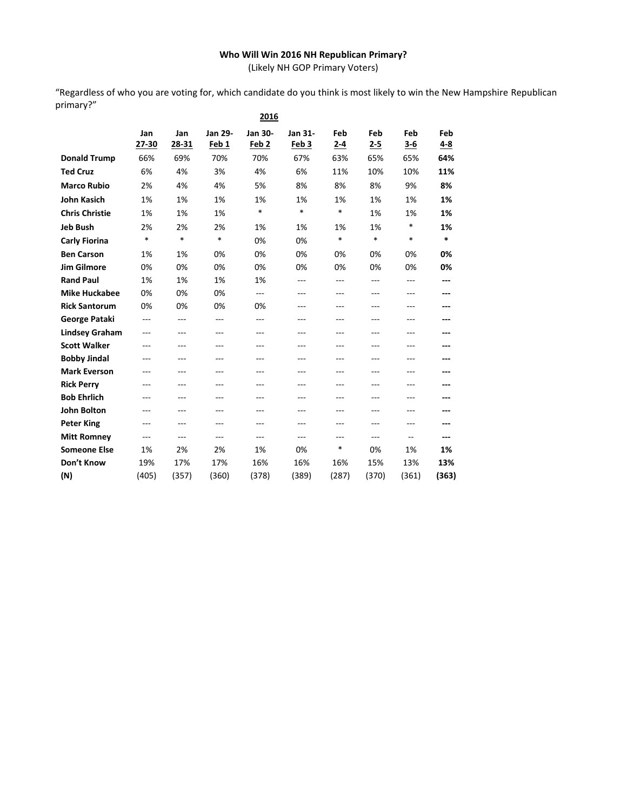## **Who Will Win 2016 NH Republican Primary?**

(Likely NH GOP Primary Voters)

"Regardless of who you are voting for, which candidate do you think is most likely to win the New Hampshire Republican primary?" **2016**

|                       |              |              |                         | 2016                        |                             |            |                |                     |            |
|-----------------------|--------------|--------------|-------------------------|-----------------------------|-----------------------------|------------|----------------|---------------------|------------|
|                       | Jan<br>27-30 | Jan<br>28-31 | <b>Jan 29-</b><br>Feb 1 | Jan 30-<br>Feb <sub>2</sub> | Jan 31-<br>Feb <sub>3</sub> | Feb<br>2-4 | Feb<br>$2 - 5$ | <b>Feb</b><br>$3-6$ | Feb<br>4-8 |
| <b>Donald Trump</b>   | 66%          | 69%          | 70%                     | 70%                         | 67%                         | 63%        | 65%            | 65%                 | 64%        |
| <b>Ted Cruz</b>       | 6%           | 4%           | 3%                      | 4%                          | 6%                          | 11%        | 10%            | 10%                 | 11%        |
| <b>Marco Rubio</b>    | 2%           | 4%           | 4%                      | 5%                          | 8%                          | 8%         | 8%             | 9%                  | 8%         |
| <b>John Kasich</b>    | 1%           | 1%           | 1%                      | 1%                          | 1%                          | 1%         | 1%             | 1%                  | 1%         |
| <b>Chris Christie</b> | 1%           | 1%           | 1%                      | $\ast$                      | $\ast$                      | $\ast$     | 1%             | 1%                  | 1%         |
| <b>Jeb Bush</b>       | 2%           | 2%           | 2%                      | 1%                          | 1%                          | 1%         | 1%             | $\ast$              | 1%         |
| <b>Carly Fiorina</b>  | $\ast$       | $\ast$       | $\ast$                  | 0%                          | 0%                          | $\ast$     | $\ast$         | $\ast$              | $\ast$     |
| <b>Ben Carson</b>     | 1%           | 1%           | 0%                      | 0%                          | 0%                          | 0%         | 0%             | 0%                  | 0%         |
| <b>Jim Gilmore</b>    | 0%           | 0%           | 0%                      | 0%                          | 0%                          | 0%         | 0%             | 0%                  | 0%         |
| <b>Rand Paul</b>      | 1%           | 1%           | 1%                      | 1%                          | $---$                       | ---        | $---$          | ---                 | ---        |
| <b>Mike Huckabee</b>  | 0%           | 0%           | 0%                      | ---                         | ---                         | ---        | ---            | ---                 | ---        |
| <b>Rick Santorum</b>  | 0%           | 0%           | 0%                      | 0%                          | ---                         | ---        | ---            | ---                 |            |
| George Pataki         | ---          | ---          | ---                     | ---                         | ---                         | ---        | ---            | ---                 |            |
| <b>Lindsey Graham</b> | ---          | ---          | ---                     | $---$                       | ---                         | ---        | ---            | ---                 |            |
| <b>Scott Walker</b>   | ---          | $-$ - $-$    | ---                     | ---                         | ---                         | ---        | ---            | ---                 |            |
| <b>Bobby Jindal</b>   | ---          | ---          | ---                     | ---                         | ---                         | ---        | ---            | ---                 |            |
| <b>Mark Everson</b>   | ---          | $-$ - $-$    | ---                     | ---                         | ---                         | ---        | ---            | ---                 |            |
| <b>Rick Perry</b>     | ---          | $-$ - $-$    | ---                     | ---                         | ---                         | ---        | ---            | ---                 |            |
| <b>Bob Ehrlich</b>    | ---          | $-$ - $-$    | $-$                     | ---                         | ---                         | ---        | ---            | ---                 |            |
| <b>John Bolton</b>    | ---          | ---          | ---                     | ---                         | ---                         | ---        | ---            | ---                 |            |
| <b>Peter King</b>     | ---          | $---$        | $-$                     | $---$                       | ---                         | ---        | $- - -$        | ---                 |            |
| <b>Mitt Romney</b>    | ---          | ---          | ---                     | ---                         | ---                         | ---        | $---$          | --                  | ---        |
| <b>Someone Else</b>   | 1%           | 2%           | 2%                      | 1%                          | 0%                          | *          | 0%             | 1%                  | 1%         |
| Don't Know            | 19%          | 17%          | 17%                     | 16%                         | 16%                         | 16%        | 15%            | 13%                 | 13%        |
| (N)                   | (405)        | (357)        | (360)                   | (378)                       | (389)                       | (287)      | (370)          | (361)               | (363)      |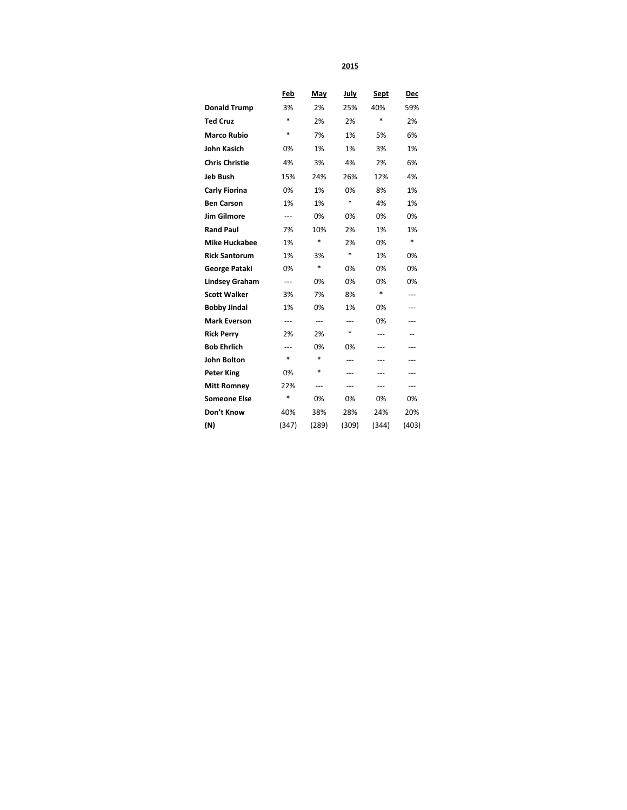**2015**

|                       | Feb    | May    | <b>July</b> | <b>Sept</b> | <u>Dec</u> |
|-----------------------|--------|--------|-------------|-------------|------------|
| <b>Donald Trump</b>   | 3%     | 2%     | 25%         | 40%         | 59%        |
| <b>Ted Cruz</b>       | $\ast$ | 2%     | 2%          | $\ast$      | 2%         |
| <b>Marco Rubio</b>    | *      | 7%     | 1%          | 5%          | 6%         |
| <b>John Kasich</b>    | 0%     | 1%     | 1%          | 3%          | 1%         |
| <b>Chris Christie</b> | 4%     | 3%     | 4%          | 2%          | 6%         |
| <b>Jeb Bush</b>       | 15%    | 24%    | 26%         | 12%         | 4%         |
| <b>Carly Fiorina</b>  | 0%     | 1%     | 0%          | 8%          | 1%         |
| <b>Ben Carson</b>     | 1%     | 1%     | $\ast$      | 4%          | 1%         |
| <b>Jim Gilmore</b>    | ---    | 0%     | 0%          | 0%          | 0%         |
| <b>Rand Paul</b>      | 7%     | 10%    | 2%          | 1%          | 1%         |
| <b>Mike Huckabee</b>  | 1%     | $\ast$ | 2%          | 0%          | $\ast$     |
| <b>Rick Santorum</b>  | 1%     | 3%     | $\ast$      | 1%          | 0%         |
| <b>George Pataki</b>  | 0%     | $\ast$ | 0%          | 0%          | 0%         |
| <b>Lindsey Graham</b> | ---    | 0%     | 0%          | 0%          | 0%         |
| <b>Scott Walker</b>   | 3%     | 7%     | 8%          | $\ast$      | ---        |
| <b>Bobby Jindal</b>   | 1%     | 0%     | 1%          | 0%          | ---        |
| <b>Mark Everson</b>   | ---    | ---    | ---         | 0%          | ---        |
| <b>Rick Perry</b>     | 2%     | 2%     | *           | $---$       |            |
| <b>Bob Ehrlich</b>    | ---    | 0%     | 0%          | ---         | ---        |
| <b>John Bolton</b>    | *      | $\ast$ | ---         | ---         | ---        |
| <b>Peter King</b>     | 0%     | $\ast$ | ---         | ---         | ---        |
| <b>Mitt Romney</b>    | 22%    | ---    | ---         | ---         | ---        |
| <b>Someone Else</b>   | *      | 0%     | 0%          | 0%          | 0%         |
| Don't Know            | 40%    | 38%    | 28%         | 24%         | 20%        |
| (N)                   | (347)  | (289)  | (309)       | (344)       | (403)      |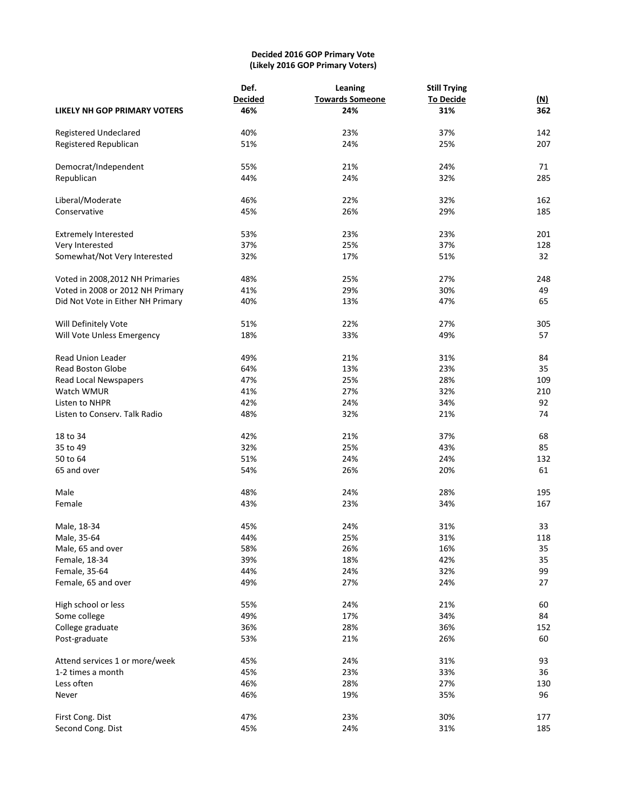## **Decided 2016 GOP Primary Vote (Likely 2016 GOP Primary Voters)**

|                                     | Def.           | Leaning                | <b>Still Trying</b> |            |
|-------------------------------------|----------------|------------------------|---------------------|------------|
|                                     | <b>Decided</b> | <b>Towards Someone</b> | <b>To Decide</b>    | <u>(N)</u> |
| <b>LIKELY NH GOP PRIMARY VOTERS</b> | 46%            | 24%                    | 31%                 | 362        |
| Registered Undeclared               | 40%            | 23%                    | 37%                 | 142        |
| Registered Republican               | 51%            | 24%                    | 25%                 | 207        |
| Democrat/Independent                | 55%            | 21%                    | 24%                 | 71         |
| Republican                          | 44%            | 24%                    | 32%                 | 285        |
| Liberal/Moderate                    | 46%            | 22%                    | 32%                 | 162        |
| Conservative                        | 45%            | 26%                    | 29%                 | 185        |
| <b>Extremely Interested</b>         | 53%            | 23%                    | 23%                 | 201        |
| Very Interested                     | 37%            | 25%                    | 37%                 | 128        |
| Somewhat/Not Very Interested        | 32%            | 17%                    | 51%                 | 32         |
| Voted in 2008, 2012 NH Primaries    | 48%            | 25%                    | 27%                 | 248        |
| Voted in 2008 or 2012 NH Primary    | 41%            | 29%                    | 30%                 | 49         |
| Did Not Vote in Either NH Primary   | 40%            | 13%                    | 47%                 | 65         |
| Will Definitely Vote                | 51%            | 22%                    | 27%                 | 305        |
| Will Vote Unless Emergency          | 18%            | 33%                    | 49%                 | 57         |
| <b>Read Union Leader</b>            | 49%            | 21%                    | 31%                 | 84         |
| <b>Read Boston Globe</b>            | 64%            | 13%                    | 23%                 | 35         |
| Read Local Newspapers               | 47%            | 25%                    | 28%                 | 109        |
| Watch WMUR                          | 41%            | 27%                    | 32%                 | 210        |
| Listen to NHPR                      | 42%            | 24%                    | 34%                 | 92         |
| Listen to Conserv. Talk Radio       | 48%            | 32%                    | 21%                 | 74         |
| 18 to 34                            | 42%            | 21%                    | 37%                 | 68         |
| 35 to 49                            | 32%            | 25%                    | 43%                 | 85         |
| 50 to 64                            | 51%            | 24%                    | 24%                 | 132        |
| 65 and over                         | 54%            | 26%                    | 20%                 | 61         |
| Male                                | 48%            | 24%                    | 28%                 | 195        |
| Female                              | 43%            | 23%                    | 34%                 | 167        |
| Male, 18-34                         | 45%            | 24%                    | 31%                 | 33         |
| Male, 35-64                         | 44%            | 25%                    | 31%                 | 118        |
| Male, 65 and over                   | 58%            | 26%                    | 16%                 | 35         |
| Female, 18-34                       | 39%            | 18%                    | 42%                 | 35         |
| Female, 35-64                       | 44%            | 24%                    | 32%                 | 99         |
| Female, 65 and over                 | 49%            | 27%                    | 24%                 | 27         |
| High school or less                 | 55%            | 24%                    | 21%                 | 60         |
| Some college                        | 49%            | 17%                    | 34%                 | 84         |
| College graduate                    | 36%            | 28%                    | 36%                 | 152        |
| Post-graduate                       | 53%            | 21%                    | 26%                 | 60         |
| Attend services 1 or more/week      | 45%            | 24%                    | 31%                 | 93         |
| 1-2 times a month                   | 45%            | 23%                    | 33%                 | 36         |
| Less often                          | 46%            | 28%                    | 27%                 | 130        |
| Never                               | 46%            | 19%                    | 35%                 | 96         |
| First Cong. Dist                    | 47%            | 23%                    | 30%                 | 177        |
| Second Cong. Dist                   | 45%            | 24%                    | 31%                 | 185        |
|                                     |                |                        |                     |            |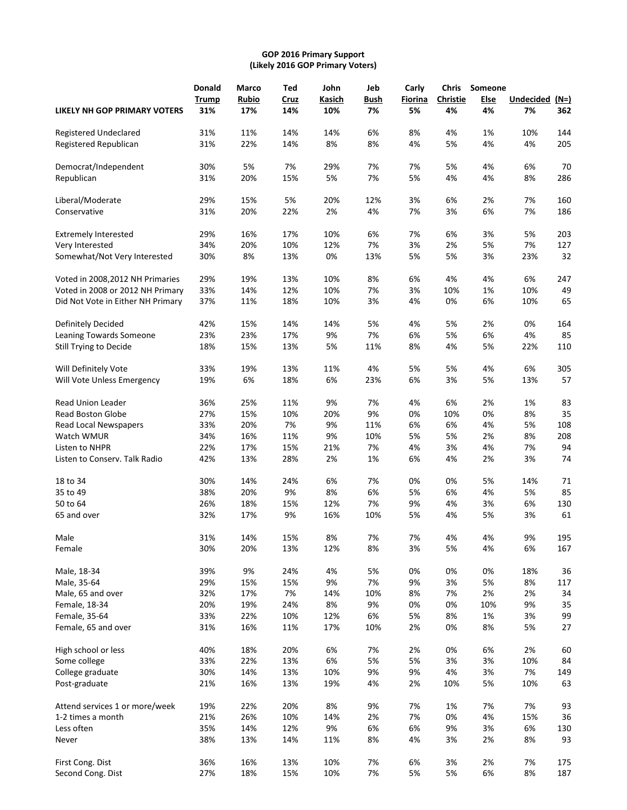#### **GOP 2016 Primary Support (Likely 2016 GOP Primary Voters)**

|                                   | <b>Donald</b> | Marco        | Ted  | John   | Jeb  | Carly   | <b>Chris</b> | Someone |           |      |
|-----------------------------------|---------------|--------------|------|--------|------|---------|--------------|---------|-----------|------|
|                                   | Trump         | <b>Rubio</b> | Cruz | Kasich | Bush | Fiorina | Christie     | Else    | Undecided | (N=) |
| LIKELY NH GOP PRIMARY VOTERS      | 31%           | 17%          | 14%  | 10%    | 7%   | 5%      | 4%           | 4%      | 7%        | 362  |
| Registered Undeclared             | 31%           | 11%          | 14%  | 14%    | 6%   | 8%      | 4%           | 1%      | 10%       | 144  |
| Registered Republican             | 31%           | 22%          | 14%  | 8%     | 8%   | 4%      | 5%           | 4%      | 4%        | 205  |
| Democrat/Independent              | 30%           | 5%           | 7%   | 29%    | 7%   | 7%      | 5%           | 4%      | 6%        | 70   |
| Republican                        | 31%           | 20%          | 15%  | 5%     | 7%   | 5%      | 4%           | 4%      | 8%        | 286  |
| Liberal/Moderate                  | 29%           | 15%          | 5%   | 20%    | 12%  | 3%      | 6%           | 2%      | 7%        | 160  |
| Conservative                      | 31%           | 20%          | 22%  | 2%     | 4%   | 7%      | 3%           | 6%      | 7%        | 186  |
| <b>Extremely Interested</b>       | 29%           | 16%          | 17%  | 10%    | 6%   | 7%      | 6%           | 3%      | 5%        | 203  |
| Very Interested                   | 34%           | 20%          | 10%  | 12%    | 7%   | 3%      | 2%           | 5%      | 7%        | 127  |
| Somewhat/Not Very Interested      | 30%           | 8%           | 13%  | 0%     | 13%  | 5%      | 5%           | 3%      | 23%       | 32   |
| Voted in 2008, 2012 NH Primaries  | 29%           | 19%          | 13%  | 10%    | 8%   | 6%      | 4%           | 4%      | 6%        | 247  |
| Voted in 2008 or 2012 NH Primary  | 33%           | 14%          | 12%  | 10%    | 7%   | 3%      | 10%          | 1%      | 10%       | 49   |
| Did Not Vote in Either NH Primary | 37%           | 11%          | 18%  | 10%    | 3%   | 4%      | 0%           | 6%      | 10%       | 65   |
| Definitely Decided                | 42%           | 15%          | 14%  | 14%    | 5%   | 4%      | 5%           | 2%      | 0%        | 164  |
| Leaning Towards Someone           | 23%           | 23%          | 17%  | 9%     | 7%   | 6%      | 5%           | 6%      | 4%        | 85   |
| Still Trying to Decide            | 18%           | 15%          | 13%  | 5%     | 11%  | 8%      | 4%           | 5%      | 22%       | 110  |
| Will Definitely Vote              | 33%           | 19%          | 13%  | 11%    | 4%   | 5%      | 5%           | 4%      | 6%        | 305  |
| Will Vote Unless Emergency        | 19%           | 6%           | 18%  | 6%     | 23%  | 6%      | 3%           | 5%      | 13%       | 57   |
| <b>Read Union Leader</b>          | 36%           | 25%          | 11%  | 9%     | 7%   | 4%      | 6%           | 2%      | 1%        | 83   |
| <b>Read Boston Globe</b>          | 27%           | 15%          | 10%  | 20%    | 9%   | 0%      | 10%          | 0%      | 8%        | 35   |
| Read Local Newspapers             | 33%           | 20%          | 7%   | 9%     | 11%  | 6%      | 6%           | 4%      | 5%        | 108  |
| Watch WMUR                        | 34%           | 16%          | 11%  | 9%     | 10%  | 5%      | 5%           | 2%      | 8%        | 208  |
| Listen to NHPR                    | 22%           | 17%          | 15%  | 21%    | 7%   | 4%      | 3%           | 4%      | 7%        | 94   |
| Listen to Conserv. Talk Radio     | 42%           | 13%          | 28%  | 2%     | 1%   | 6%      | 4%           | 2%      | 3%        | 74   |
| 18 to 34                          | 30%           | 14%          | 24%  | 6%     | 7%   | 0%      | 0%           | 5%      | 14%       | 71   |
| 35 to 49                          | 38%           | 20%          | 9%   | 8%     | 6%   | 5%      | 6%           | 4%      | 5%        | 85   |
| 50 to 64                          | 26%           | 18%          | 15%  | 12%    | 7%   | 9%      | 4%           | 3%      | 6%        | 130  |
| 65 and over                       | 32%           | 17%          | 9%   | 16%    | 10%  | 5%      | 4%           | 5%      | 3%        | 61   |
| Male                              | 31%           | 14%          | 15%  | 8%     | 7%   | 7%      | 4%           | 4%      | 9%        | 195  |
| Female                            | 30%           | 20%          | 13%  | 12%    | 8%   | 3%      | 5%           | 4%      | 6%        | 167  |
| Male, 18-34                       | 39%           | 9%           | 24%  | 4%     | 5%   | 0%      | 0%           | 0%      | 18%       | 36   |
| Male, 35-64                       | 29%           | 15%          | 15%  | 9%     | 7%   | 9%      | 3%           | 5%      | 8%        | 117  |
| Male, 65 and over                 | 32%           | 17%          | 7%   | 14%    | 10%  | 8%      | 7%           | 2%      | 2%        | 34   |
| Female, 18-34                     | 20%           | 19%          | 24%  | 8%     | 9%   | 0%      | 0%           | 10%     | 9%        | 35   |
| Female, 35-64                     | 33%           | 22%          | 10%  | 12%    | 6%   | 5%      | 8%           | 1%      | 3%        | 99   |
| Female, 65 and over               | 31%           | 16%          | 11%  | 17%    | 10%  | $2\%$   | 0%           | 8%      | 5%        | 27   |
| High school or less               | 40%           | 18%          | 20%  | 6%     | 7%   | 2%      | 0%           | 6%      | 2%        | 60   |
| Some college                      | 33%           | 22%          | 13%  | 6%     | 5%   | 5%      | 3%           | 3%      | 10%       | 84   |
| College graduate                  | 30%           | 14%          | 13%  | 10%    | 9%   | 9%      | 4%           | 3%      | 7%        | 149  |
| Post-graduate                     | 21%           | 16%          | 13%  | 19%    | 4%   | 2%      | 10%          | 5%      | 10%       | 63   |
| Attend services 1 or more/week    | 19%           | 22%          | 20%  | 8%     | 9%   | 7%      | 1%           | 7%      | 7%        | 93   |
| 1-2 times a month                 | 21%           | 26%          | 10%  | 14%    | 2%   | 7%      | 0%           | 4%      | 15%       | 36   |
| Less often                        | 35%           | 14%          | 12%  | 9%     | 6%   | 6%      | 9%           | 3%      | 6%        | 130  |
| Never                             | 38%           | 13%          | 14%  | 11%    | 8%   | 4%      | 3%           | 2%      | 8%        | 93   |
| First Cong. Dist                  | 36%           | 16%          | 13%  | 10%    | 7%   | 6%      | 3%           | 2%      | 7%        | 175  |
| Second Cong. Dist                 | 27%           | 18%          | 15%  | 10%    | 7%   | 5%      | 5%           | 6%      | 8%        | 187  |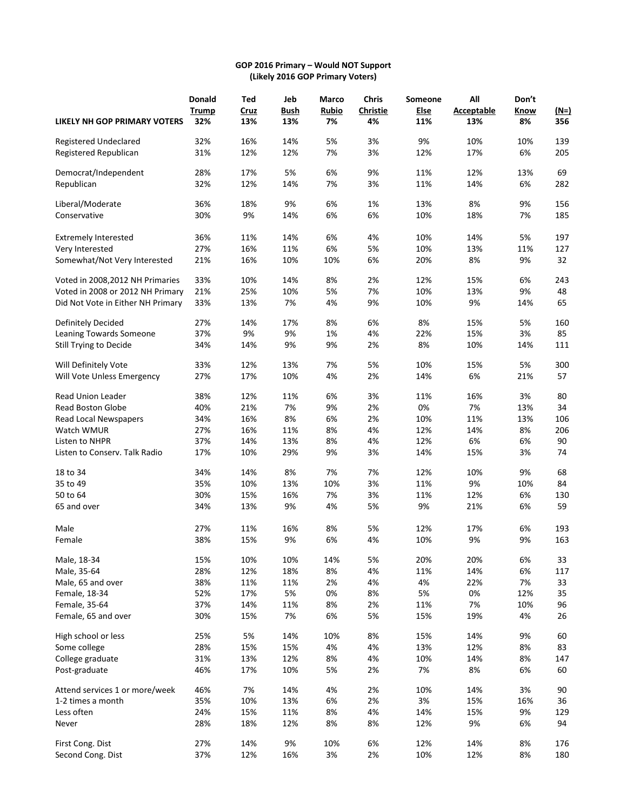## **GOP 2016 Primary – Would NOT Support (Likely 2016 GOP Primary Voters)**

| LIKELY NH GOP PRIMARY VOTERS                   | <b>Donald</b><br><b>Trump</b><br>32% | Ted<br>Cruz<br>13% | Jeb<br><b>Bush</b><br>13% | Marco<br><b>Rubio</b><br>7% | <b>Chris</b><br>Christie<br>4% | Someone<br><b>Else</b><br>11% | All<br><b>Acceptable</b><br>13% | Don't<br><b>Know</b><br>8% | $(N=)$<br>356 |
|------------------------------------------------|--------------------------------------|--------------------|---------------------------|-----------------------------|--------------------------------|-------------------------------|---------------------------------|----------------------------|---------------|
|                                                |                                      |                    |                           |                             |                                |                               | 10%                             |                            |               |
| Registered Undeclared<br>Registered Republican | 32%<br>31%                           | 16%<br>12%         | 14%<br>12%                | 5%<br>7%                    | 3%<br>3%                       | 9%<br>12%                     | 17%                             | 10%<br>6%                  | 139<br>205    |
| Democrat/Independent                           | 28%                                  | 17%                | 5%                        | 6%                          | 9%                             | 11%                           | 12%                             | 13%                        | 69            |
| Republican                                     | 32%                                  | 12%                | 14%                       | 7%                          | 3%                             | 11%                           | 14%                             | 6%                         | 282           |
| Liberal/Moderate                               | 36%                                  | 18%                | 9%                        | 6%                          | 1%                             | 13%                           | 8%                              | 9%                         | 156           |
| Conservative                                   | 30%                                  | 9%                 | 14%                       | 6%                          | 6%                             | 10%                           | 18%                             | 7%                         | 185           |
| <b>Extremely Interested</b>                    | 36%                                  | 11%                | 14%                       | 6%                          | 4%                             | 10%                           | 14%                             | 5%                         | 197           |
| Very Interested                                | 27%                                  | 16%                | 11%                       | 6%                          | 5%                             | 10%                           | 13%                             | 11%                        | 127           |
| Somewhat/Not Very Interested                   | 21%                                  | 16%                | 10%                       | 10%                         | 6%                             | 20%                           | 8%                              | 9%                         | 32            |
| Voted in 2008, 2012 NH Primaries               | 33%                                  | 10%                | 14%                       | 8%                          | 2%                             | 12%                           | 15%                             | 6%                         | 243           |
| Voted in 2008 or 2012 NH Primary               | 21%                                  | 25%                | 10%                       | 5%                          | 7%                             | 10%                           | 13%                             | 9%                         | 48            |
| Did Not Vote in Either NH Primary              | 33%                                  | 13%                | 7%                        | 4%                          | 9%                             | 10%                           | 9%                              | 14%                        | 65            |
| Definitely Decided                             | 27%                                  | 14%                | 17%                       | 8%                          | 6%                             | 8%                            | 15%                             | 5%                         | 160           |
| Leaning Towards Someone                        | 37%                                  | 9%                 | 9%                        | 1%                          | 4%                             | 22%                           | 15%                             | 3%                         | 85            |
| Still Trying to Decide                         | 34%                                  | 14%                | 9%                        | 9%                          | 2%                             | 8%                            | 10%                             | 14%                        | 111           |
| Will Definitely Vote                           | 33%                                  | 12%                | 13%                       | 7%                          | 5%                             | 10%                           | 15%                             | 5%                         | 300           |
| Will Vote Unless Emergency                     | 27%                                  | 17%                | 10%                       | 4%                          | 2%                             | 14%                           | 6%                              | 21%                        | 57            |
| Read Union Leader                              | 38%                                  | 12%                | 11%                       | 6%                          | 3%                             | 11%                           | 16%                             | 3%                         | 80            |
| <b>Read Boston Globe</b>                       | 40%                                  | 21%                | 7%                        | 9%                          | 2%                             | 0%                            | 7%                              | 13%                        | 34            |
| Read Local Newspapers                          | 34%                                  | 16%                | 8%                        | 6%                          | 2%                             | 10%                           | 11%                             | 13%                        | 106           |
| Watch WMUR                                     | 27%                                  | 16%                | 11%                       | 8%                          | 4%                             | 12%                           | 14%                             | 8%                         | 206           |
| Listen to NHPR                                 | 37%                                  | 14%                | 13%                       | 8%                          | 4%                             | 12%                           | 6%                              | 6%                         | 90            |
| Listen to Conserv. Talk Radio                  | 17%                                  | 10%                | 29%                       | 9%                          | 3%                             | 14%                           | 15%                             | 3%                         | 74            |
| 18 to 34                                       | 34%                                  | 14%                | 8%                        | 7%                          | 7%                             | 12%                           | 10%                             | 9%                         | 68            |
| 35 to 49                                       | 35%                                  | 10%                | 13%                       | 10%                         | 3%                             | 11%                           | 9%                              | 10%                        | 84            |
| 50 to 64                                       | 30%                                  | 15%                | 16%                       | 7%                          | 3%                             | 11%                           | 12%                             | 6%                         | 130           |
| 65 and over                                    | 34%                                  | 13%                | 9%                        | 4%                          | 5%                             | 9%                            | 21%                             | 6%                         | 59            |
| Male                                           | 27%                                  | 11%                | 16%                       | 8%                          | 5%                             | 12%                           | 17%                             | 6%                         | 193           |
| Female                                         | 38%                                  | 15%                | 9%                        | 6%                          | 4%                             | 10%                           | 9%                              | 9%                         | 163           |
| Male, 18-34                                    | 15%                                  | 10%                | 10%                       | 14%                         | 5%                             | 20%                           | 20%                             | 6%                         | 33            |
| Male, 35-64                                    | 28%                                  | 12%                | 18%                       | 8%                          | 4%                             | 11%                           | 14%                             | 6%                         | 117           |
| Male, 65 and over                              | 38%                                  | 11%                | 11%                       | 2%                          | 4%                             | 4%                            | 22%                             | 7%                         | 33            |
| Female, 18-34                                  | 52%                                  | 17%                | 5%                        | 0%                          | 8%                             | 5%                            | 0%                              | 12%                        | 35            |
| Female, 35-64                                  | 37%                                  | 14%                | 11%                       | 8%                          | 2%                             | 11%                           | 7%                              | 10%                        | 96            |
| Female, 65 and over                            | 30%                                  | 15%                | 7%                        | 6%                          | 5%                             | 15%                           | 19%                             | 4%                         | 26            |
| High school or less                            | 25%                                  | 5%                 | 14%                       | 10%                         | 8%                             | 15%                           | 14%                             | 9%                         | 60            |
| Some college                                   | 28%                                  | 15%                | 15%                       | 4%                          | 4%                             | 13%                           | 12%                             | 8%                         | 83            |
| College graduate                               | 31%                                  | 13%                | 12%                       | 8%                          | 4%                             | 10%                           | 14%                             | 8%                         | 147           |
| Post-graduate                                  | 46%                                  | 17%                | 10%                       | 5%                          | 2%                             | 7%                            | 8%                              | 6%                         | 60            |
| Attend services 1 or more/week                 | 46%                                  | 7%                 | 14%                       | 4%                          | 2%                             | 10%                           | 14%                             | 3%                         | 90            |
| 1-2 times a month                              | 35%                                  | 10%                | 13%                       | 6%                          | 2%                             | 3%                            | 15%                             | 16%                        | 36            |
| Less often                                     | 24%                                  | 15%                | 11%                       | 8%                          | 4%                             | 14%                           | 15%                             | 9%                         | 129           |
| Never                                          | 28%                                  | 18%                | 12%                       | 8%                          | 8%                             | 12%                           | 9%                              | 6%                         | 94            |
| First Cong. Dist                               | 27%                                  | 14%                | 9%                        | 10%                         | 6%                             | 12%                           | 14%                             | 8%                         | 176           |
| Second Cong. Dist                              | 37%                                  | 12%                | 16%                       | 3%                          | 2%                             | 10%                           | 12%                             | 8%                         | 180           |